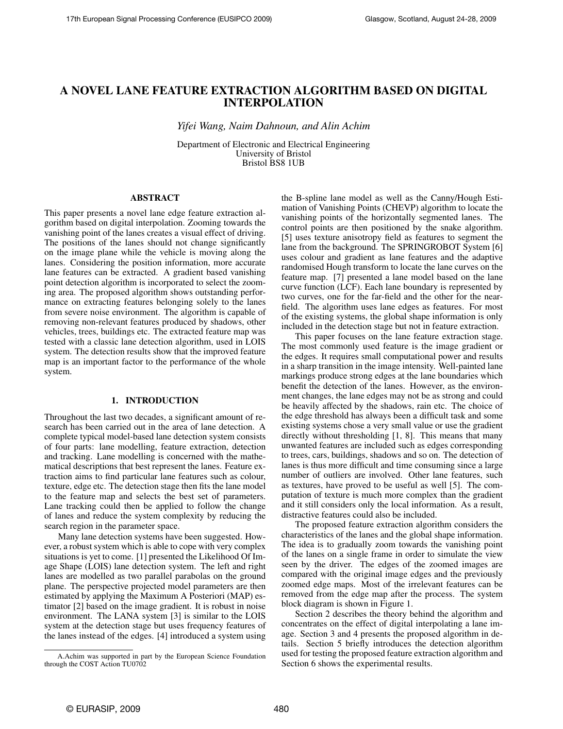# A NOVEL LANE FEATURE EXTRACTION ALGORITHM BASED ON DIGITAL INTERPOLATION

*Yifei Wang, Naim Dahnoun, and Alin Achim*

Department of Electronic and Electrical Engineering University of Bristol Bristol BS8 1UB

# ABSTRACT

This paper presents a novel lane edge feature extraction algorithm based on digital interpolation. Zooming towards the vanishing point of the lanes creates a visual effect of driving. The positions of the lanes should not change significantly on the image plane while the vehicle is moving along the lanes. Considering the position information, more accurate lane features can be extracted. A gradient based vanishing point detection algorithm is incorporated to select the zooming area. The proposed algorithm shows outstanding performance on extracting features belonging solely to the lanes from severe noise environment. The algorithm is capable of removing non-relevant features produced by shadows, other vehicles, trees, buildings etc. The extracted feature map was tested with a classic lane detection algorithm, used in LOIS system. The detection results show that the improved feature map is an important factor to the performance of the whole system.

#### 1. INTRODUCTION

Throughout the last two decades, a significant amount of research has been carried out in the area of lane detection. A complete typical model-based lane detection system consists of four parts: lane modelling, feature extraction, detection and tracking. Lane modelling is concerned with the mathematical descriptions that best represent the lanes. Feature extraction aims to find particular lane features such as colour, texture, edge etc. The detection stage then fits the lane model to the feature map and selects the best set of parameters. Lane tracking could then be applied to follow the change of lanes and reduce the system complexity by reducing the search region in the parameter space.

Many lane detection systems have been suggested. However, a robust system which is able to cope with very complex situations is yet to come. [1] presented the Likelihood Of Image Shape (LOIS) lane detection system. The left and right lanes are modelled as two parallel parabolas on the ground plane. The perspective projected model parameters are then estimated by applying the Maximum A Posteriori (MAP) estimator [2] based on the image gradient. It is robust in noise environment. The LANA system [3] is similar to the LOIS system at the detection stage but uses frequency features of the lanes instead of the edges. [4] introduced a system using

the B-spline lane model as well as the Canny/Hough Estimation of Vanishing Points (CHEVP) algorithm to locate the vanishing points of the horizontally segmented lanes. The control points are then positioned by the snake algorithm. [5] uses texture anisotropy field as features to segment the lane from the background. The SPRINGROBOT System [6] uses colour and gradient as lane features and the adaptive randomised Hough transform to locate the lane curves on the feature map. [7] presented a lane model based on the lane curve function (LCF). Each lane boundary is represented by two curves, one for the far-field and the other for the nearfield. The algorithm uses lane edges as features. For most of the existing systems, the global shape information is only included in the detection stage but not in feature extraction.

This paper focuses on the lane feature extraction stage. The most commonly used feature is the image gradient or the edges. It requires small computational power and results in a sharp transition in the image intensity. Well-painted lane markings produce strong edges at the lane boundaries which benefit the detection of the lanes. However, as the environment changes, the lane edges may not be as strong and could be heavily affected by the shadows, rain etc. The choice of the edge threshold has always been a difficult task and some existing systems chose a very small value or use the gradient directly without thresholding [1, 8]. This means that many unwanted features are included such as edges corresponding to trees, cars, buildings, shadows and so on. The detection of lanes is thus more difficult and time consuming since a large number of outliers are involved. Other lane features, such as textures, have proved to be useful as well [5]. The computation of texture is much more complex than the gradient and it still considers only the local information. As a result, distractive features could also be included.

The proposed feature extraction algorithm considers the characteristics of the lanes and the global shape information. The idea is to gradually zoom towards the vanishing point of the lanes on a single frame in order to simulate the view seen by the driver. The edges of the zoomed images are compared with the original image edges and the previously zoomed edge maps. Most of the irrelevant features can be removed from the edge map after the process. The system block diagram is shown in Figure 1.

Section 2 describes the theory behind the algorithm and concentrates on the effect of digital interpolating a lane image. Section 3 and 4 presents the proposed algorithm in details. Section 5 briefly introduces the detection algorithm used for testing the proposed feature extraction algorithm and Section 6 shows the experimental results.

A.Achim was supported in part by the European Science Foundation through the COST Action TU0702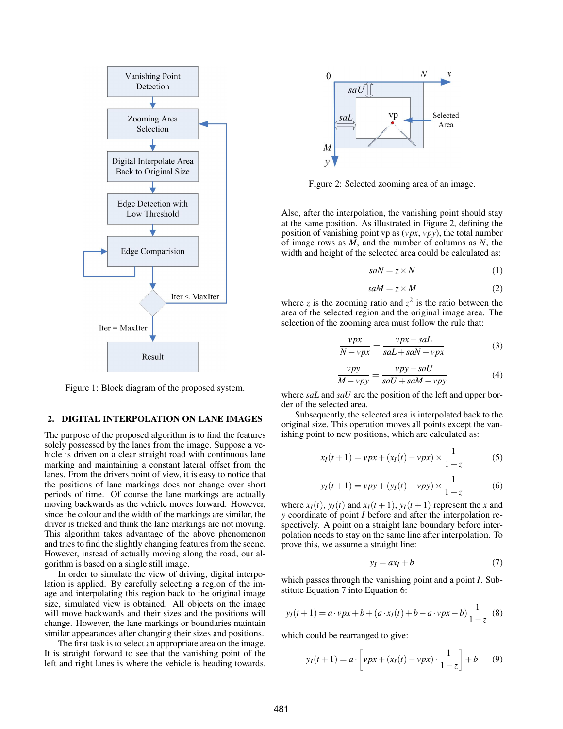

Figure 1: Block diagram of the proposed system.

# 2. DIGITAL INTERPOLATION ON LANE IMAGES

The purpose of the proposed algorithm is to find the features solely possessed by the lanes from the image. Suppose a vehicle is driven on a clear straight road with continuous lane marking and maintaining a constant lateral offset from the lanes. From the drivers point of view, it is easy to notice that the positions of lane markings does not change over short periods of time. Of course the lane markings are actually moving backwards as the vehicle moves forward. However, since the colour and the width of the markings are similar, the driver is tricked and think the lane markings are not moving. This algorithm takes advantage of the above phenomenon and tries to find the slightly changing features from the scene. However, instead of actually moving along the road, our algorithm is based on a single still image.

In order to simulate the view of driving, digital interpolation is applied. By carefully selecting a region of the image and interpolating this region back to the original image size, simulated view is obtained. All objects on the image will move backwards and their sizes and the positions will change. However, the lane markings or boundaries maintain similar appearances after changing their sizes and positions.

The first task is to select an appropriate area on the image. It is straight forward to see that the vanishing point of the left and right lanes is where the vehicle is heading towards.



Figure 2: Selected zooming area of an image.

Also, after the interpolation, the vanishing point should stay at the same position. As illustrated in Figure 2, defining the position of vanishing point vp as (*vpx*, *vpy*), the total number of image rows as *M*, and the number of columns as *N*, the width and height of the selected area could be calculated as:

$$
saN = z \times N \tag{1}
$$

$$
saM = z \times M \tag{2}
$$

where *z* is the zooming ratio and  $z^2$  is the ratio between the area of the selected region and the original image area. The selection of the zooming area must follow the rule that:

$$
\frac{vpx}{N - vpx} = \frac{vpx - sal}{sal + sal - vpx} \tag{3}
$$

$$
\frac{vpy}{M - vpy} = \frac{vpy - saU}{saU + saM - vpy}
$$
(4)

where *saL* and *saU* are the position of the left and upper border of the selected area.

Subsequently, the selected area is interpolated back to the original size. This operation moves all points except the vanishing point to new positions, which are calculated as:

$$
x_I(t+1) = vpx + (x_I(t) - vpx) \times \frac{1}{1-z}
$$
 (5)

$$
y_I(t+1) = vpy + (y_I(t) - vpy) \times \frac{1}{1 - z}
$$
 (6)

where  $x_I(t)$ ,  $y_I(t)$  and  $x_I(t+1)$ ,  $y_I(t+1)$  represent the *x* and *y* coordinate of point *I* before and after the interpolation respectively. A point on a straight lane boundary before interpolation needs to stay on the same line after interpolation. To prove this, we assume a straight line:

$$
y_I = ax_I + b \tag{7}
$$

which passes through the vanishing point and a point *I*. Substitute Equation 7 into Equation 6:

$$
y_I(t+1) = a \cdot vpx + b + (a \cdot x_I(t) + b - a \cdot vpx - b)\frac{1}{1-z}
$$
 (8)

which could be rearranged to give:

$$
y_I(t+1) = a \cdot \left[ vpx + (x_I(t) - vpx) \cdot \frac{1}{1-z} \right] + b \qquad (9)
$$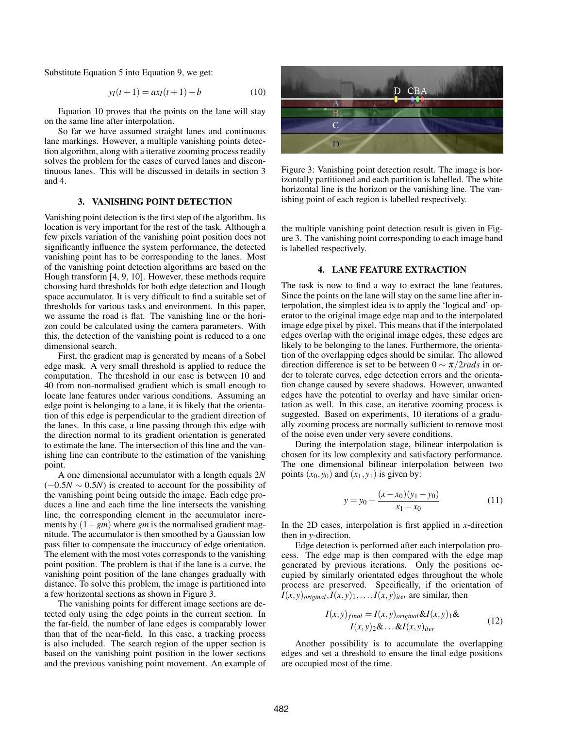Substitute Equation 5 into Equation 9, we get:

$$
y_I(t+1) = ax_I(t+1) + b \tag{10}
$$

Equation 10 proves that the points on the lane will stay on the same line after interpolation.

So far we have assumed straight lanes and continuous lane markings. However, a multiple vanishing points detection algorithm, along with a iterative zooming process readily solves the problem for the cases of curved lanes and discontinuous lanes. This will be discussed in details in section 3 and 4.

# 3. VANISHING POINT DETECTION

Vanishing point detection is the first step of the algorithm. Its location is very important for the rest of the task. Although a few pixels variation of the vanishing point position does not significantly influence the system performance, the detected vanishing point has to be corresponding to the lanes. Most of the vanishing point detection algorithms are based on the Hough transform [4, 9, 10]. However, these methods require choosing hard thresholds for both edge detection and Hough space accumulator. It is very difficult to find a suitable set of thresholds for various tasks and environment. In this paper, we assume the road is flat. The vanishing line or the horizon could be calculated using the camera parameters. With this, the detection of the vanishing point is reduced to a one dimensional search.

First, the gradient map is generated by means of a Sobel edge mask. A very small threshold is applied to reduce the computation. The threshold in our case is between 10 and 40 from non-normalised gradient which is small enough to locate lane features under various conditions. Assuming an edge point is belonging to a lane, it is likely that the orientation of this edge is perpendicular to the gradient direction of the lanes. In this case, a line passing through this edge with the direction normal to its gradient orientation is generated to estimate the lane. The intersection of this line and the vanishing line can contribute to the estimation of the vanishing point.

A one dimensional accumulator with a length equals 2*N*  $(-0.5N \sim 0.5N)$  is created to account for the possibility of the vanishing point being outside the image. Each edge produces a line and each time the line intersects the vanishing line, the corresponding element in the accumulator increments by  $(1+gm)$  where *gm* is the normalised gradient magnitude. The accumulator is then smoothed by a Gaussian low pass filter to compensate the inaccuracy of edge orientation. The element with the most votes corresponds to the vanishing point position. The problem is that if the lane is a curve, the vanishing point position of the lane changes gradually with distance. To solve this problem, the image is partitioned into a few horizontal sections as shown in Figure 3.

The vanishing points for different image sections are detected only using the edge points in the current section. In the far-field, the number of lane edges is comparably lower than that of the near-field. In this case, a tracking process is also included. The search region of the upper section is based on the vanishing point position in the lower sections and the previous vanishing point movement. An example of



Figure 3: Vanishing point detection result. The image is horizontally partitioned and each partition is labelled. The white horizontal line is the horizon or the vanishing line. The vanishing point of each region is labelled respectively.

the multiple vanishing point detection result is given in Figure 3. The vanishing point corresponding to each image band is labelled respectively.

#### 4. LANE FEATURE EXTRACTION

The task is now to find a way to extract the lane features. Since the points on the lane will stay on the same line after interpolation, the simplest idea is to apply the 'logical and' operator to the original image edge map and to the interpolated image edge pixel by pixel. This means that if the interpolated edges overlap with the original image edges, these edges are likely to be belonging to the lanes. Furthermore, the orientation of the overlapping edges should be similar. The allowed direction difference is set to be between 0 ∼ π/2*rads* in order to tolerate curves, edge detection errors and the orientation change caused by severe shadows. However, unwanted edges have the potential to overlay and have similar orientation as well. In this case, an iterative zooming process is suggested. Based on experiments, 10 iterations of a gradually zooming process are normally sufficient to remove most of the noise even under very severe conditions.

During the interpolation stage, bilinear interpolation is chosen for its low complexity and satisfactory performance. The one dimensional bilinear interpolation between two points  $(x_0, y_0)$  and  $(x_1, y_1)$  is given by:

$$
y = y_0 + \frac{(x - x_0)(y_1 - y_0)}{x_1 - x_0}
$$
 (11)

In the 2D cases, interpolation is first applied in *x*-direction then in *y*-direction.

Edge detection is performed after each interpolation process. The edge map is then compared with the edge map generated by previous iterations. Only the positions occupied by similarly orientated edges throughout the whole process are preserved. Specifically, if the orientation of  $I(x, y)$ <sub>original</sub>, $I(x, y)$ <sub>1</sub>,..., $I(x, y)$ <sub>iter</sub> are similar, then

$$
I(x,y)_{final} = I(x,y)_{original} \& I(x,y)_{1} \& I(x,y)_{2} \& \dots \& I(x,y)_{iter}
$$
 (12)

Another possibility is to accumulate the overlapping edges and set a threshold to ensure the final edge positions are occupied most of the time.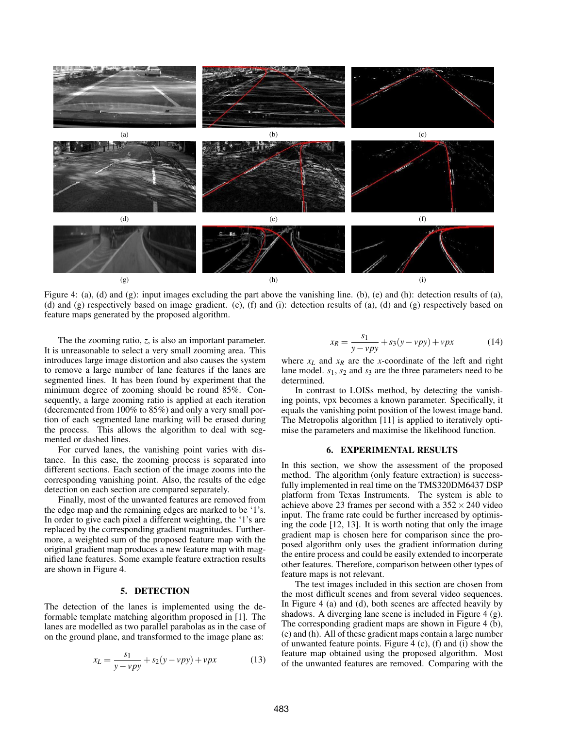

Figure 4: (a), (d) and (g): input images excluding the part above the vanishing line. (b), (e) and (h): detection results of (a), (d) and (g) respectively based on image gradient. (c), (f) and (i): detection results of (a), (d) and (g) respectively based on feature maps generated by the proposed algorithm.

The the zooming ratio, *z*, is also an important parameter. It is unreasonable to select a very small zooming area. This introduces large image distortion and also causes the system to remove a large number of lane features if the lanes are segmented lines. It has been found by experiment that the minimum degree of zooming should be round 85%. Consequently, a large zooming ratio is applied at each iteration (decremented from 100% to 85%) and only a very small portion of each segmented lane marking will be erased during the process. This allows the algorithm to deal with segmented or dashed lines.

For curved lanes, the vanishing point varies with distance. In this case, the zooming process is separated into different sections. Each section of the image zooms into the corresponding vanishing point. Also, the results of the edge detection on each section are compared separately.

Finally, most of the unwanted features are removed from the edge map and the remaining edges are marked to be '1's. In order to give each pixel a different weighting, the '1's are replaced by the corresponding gradient magnitudes. Furthermore, a weighted sum of the proposed feature map with the original gradient map produces a new feature map with magnified lane features. Some example feature extraction results are shown in Figure 4.

#### 5. DETECTION

The detection of the lanes is implemented using the deformable template matching algorithm proposed in [1]. The lanes are modelled as two parallel parabolas as in the case of on the ground plane, and transformed to the image plane as:

$$
x_L = \frac{s_1}{y - vpy} + s_2(y - vpy) + vpx
$$
 (13)

$$
x_R = \frac{s_1}{y - vpy} + s_3(y - vpy) + vpx
$$
 (14)

where  $x_L$  and  $x_R$  are the *x*-coordinate of the left and right lane model. *s*1, *s*<sup>2</sup> and *s*<sup>3</sup> are the three parameters need to be determined.

In contrast to LOISs method, by detecting the vanishing points, vpx becomes a known parameter. Specifically, it equals the vanishing point position of the lowest image band. The Metropolis algorithm [11] is applied to iteratively optimise the parameters and maximise the likelihood function.

### 6. EXPERIMENTAL RESULTS

In this section, we show the assessment of the proposed method. The algorithm (only feature extraction) is successfully implemented in real time on the TMS320DM6437 DSP platform from Texas Instruments. The system is able to achieve above 23 frames per second with a  $352 \times 240$  video input. The frame rate could be further increased by optimising the code [12, 13]. It is worth noting that only the image gradient map is chosen here for comparison since the proposed algorithm only uses the gradient information during the entire process and could be easily extended to incorperate other features. Therefore, comparison between other types of feature maps is not relevant.

The test images included in this section are chosen from the most difficult scenes and from several video sequences. In Figure 4 (a) and (d), both scenes are affected heavily by shadows. A diverging lane scene is included in Figure 4 (g). The corresponding gradient maps are shown in Figure 4 (b), (e) and (h). All of these gradient maps contain a large number of unwanted feature points. Figure 4 (c), (f) and (i) show the feature map obtained using the proposed algorithm. Most of the unwanted features are removed. Comparing with the